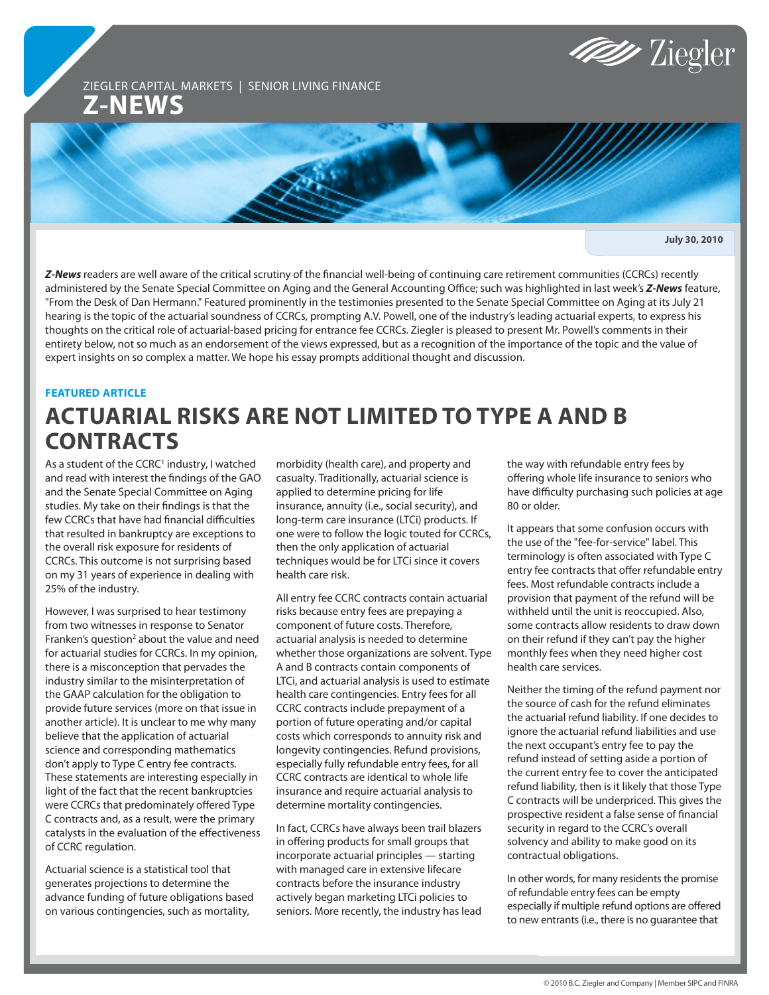

## ZIEGLER CAPITAL MARKETS | SENIOR LIVING FINANCE **Z-NEWS**

**July 30, 2010**

*Z-News* readers are well aware of the critical scrutiny of the financial well-being of continuing care retirement communities (CCRCs) recently administered by the Senate Special Committee on Aging and the General Accounting Office; such was highlighted in last week's *Z-News* feature, "From the Desk of Dan Hermann." Featured prominently in the testimonies presented to the Senate Special Committee on Aging at its July 21 hearing is the topic of the actuarial soundness of CCRCs, prompting A.V. Powell, one of the industry's leading actuarial experts, to express his thoughts on the critical role of actuarial-based pricing for entrance fee CCRCs. Ziegler is pleased to present Mr. Powell's comments in their entirety below, not so much as an endorsement of the views expressed, but as a recognition of the importance of the topic and the value of expert insights on so complex a matter. We hope his essay prompts additional thought and discussion.

## **FEATURED ARTICLE**

## **ACTUARIAL RISKS ARE NOT LIMITED TO TYPE A AND B CONTRACTS**

As a student of the CCRC<sup>1</sup> industry, I watched and read with interest the findings of the GAO and the Senate Special Committee on Aging studies. My take on their findings is that the few CCRCs that have had financial difficulties that resulted in bankruptcy are exceptions to the overall risk exposure for residents of CCRCs. This outcome is not surprising based on my 31 years of experience in dealing with 25% of the industry.

However, I was surprised to hear testimony from two witnesses in response to Senator Franken's question<sup>2</sup> about the value and need for actuarial studies for CCRCs. In my opinion, there is a misconception that pervades the industry similar to the misinterpretation of the GAAP calculation for the obligation to provide future services (more on that issue in another article). It is unclear to me why many believe that the application of actuarial science and corresponding mathematics don't apply to Type C entry fee contracts. These statements are interesting especially in light of the fact that the recent bankruptcies were CCRCs that predominately offered Type C contracts and, as a result, were the primary catalysts in the evaluation of the effectiveness of CCRC regulation.

Actuarial science is a statistical tool that generates projections to determine the advance funding of future obligations based on various contingencies, such as mortality,

morbidity (health care), and property and casualty. Traditionally, actuarial science is applied to determine pricing for life insurance, annuity (i.e., social security), and long-term care insurance (LTCi) products. If one were to follow the logic touted for CCRCs, then the only application of actuarial techniques would be for LTCi since it covers health care risk.

All entry fee CCRC contracts contain actuarial risks because entry fees are prepaying a component of future costs. Therefore, actuarial analysis is needed to determine whether those organizations are solvent. Type A and B contracts contain components of LTCi, and actuarial analysis is used to estimate health care contingencies. Entry fees for all CCRC contracts include prepayment of a portion of future operating and/or capital costs which corresponds to annuity risk and longevity contingencies. Refund provisions, especially fully refundable entry fees, for all CCRC contracts are identical to whole life insurance and require actuarial analysis to determine mortality contingencies.

In fact, CCRCs have always been trail blazers in offering products for small groups that incorporate actuarial principles — starting with managed care in extensive lifecare contracts before the insurance industry actively began marketing LTCi policies to seniors. More recently, the industry has lead the way with refundable entry fees by offering whole life insurance to seniors who have difficulty purchasing such policies at age 80 or older.

It appears that some confusion occurs with the use of the "fee-for-service" label. This terminology is often associated with Type C entry fee contracts that offer refundable entry fees. Most refundable contracts include a provision that payment of the refund will be withheld until the unit is reoccupied. Also, some contracts allow residents to draw down on their refund if they can't pay the higher monthly fees when they need higher cost health care services.

Neither the timing of the refund payment nor the source of cash for the refund eliminates the actuarial refund liability. If one decides to ignore the actuarial refund liabilities and use the next occupant's entry fee to pay the refund instead of setting aside a portion of the current entry fee to cover the anticipated refund liability, then is it likely that those Type C contracts will be underpriced. This gives the prospective resident a false sense of financial security in regard to the CCRC's overall solvency and ability to make good on its contractual obligations.

In other words, for many residents the promise of refundable entry fees can be empty especially if multiple refund options are offered to new entrants (i.e., there is no guarantee that